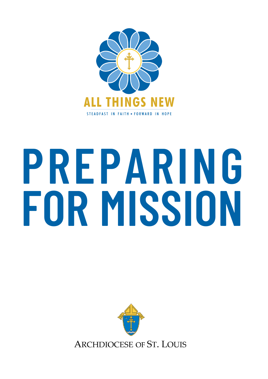

# **PREPARING FOR MISSION**

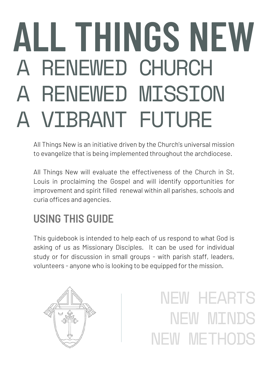## RENEWED CHURCH RENEWED MISSION A VIBRANT FUTURE **ALL THINGS NEW**

All Things New is an initiative driven by the Church's universal mission to evangelize that is being implemented throughout the archdiocese.

All Things New will evaluate the effectiveness of the Church in St. Louis in proclaiming the Gospel and will identify opportunities for improvement and spirit filled renewal within all parishes, schools and curia offices and agencies.

### **USING THIS GUIDE**

This guidebook is intended to help each of us respond to what God is asking of us as Missionary Disciples. It can be used for individual study or for discussion in small groups - with parish staff, leaders, volunteers - anyone who is looking to be equipped for the mission.



NEW HEARTS NEW MINDS NEW METHODS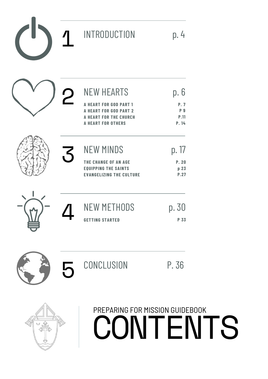|          |                         | <b>INTRODUCTION</b>                                                                                                    | p.4                                   |
|----------|-------------------------|------------------------------------------------------------------------------------------------------------------------|---------------------------------------|
|          | $\overline{\textbf{C}}$ | <b>NEW HEARTS</b>                                                                                                      | p.6                                   |
|          |                         | <b>HEART FOR GOD PART 1</b><br><b>ART FOR GOD PART 2</b><br><b>A HEART FOR THE CHURCH</b><br><b>A HEART FOR OTHERS</b> | P.7<br>P <sub>9</sub><br>P.11<br>P.14 |
|          | 3                       | <b>NEW MINDS</b>                                                                                                       | p. 17                                 |
|          |                         | THE CHANGE OF AN AGE<br><b>EQUIPPING THE SAINTS</b><br><b>EVANGELIZING THE CULTURE</b>                                 | P.20<br>p 23<br>P.27                  |
|          |                         | <b>NEW METHODS</b>                                                                                                     | p. 30                                 |
| <u>ш</u> |                         | <b>GETTING STARTED</b>                                                                                                 | P 33                                  |
|          | $\mathsf{\Gamma}$       | CONCLUSION                                                                                                             | P. 36                                 |



 $\sum_{i=1}^{n}$ 

## **CONTENTS** PREPARING FOR MISSION GUIDEBOOK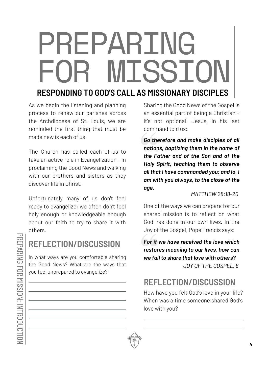## PREPARING FOR MISSION

#### **RESPONDING TO GOD'S CALL AS MISSIONARY DISCIPLES**

As we begin the listening and planning process to renew our parishes across the Archdiocese of St. Louis, we are reminded the first thing that must be made new is each of us.

The Church has called each of us to take an active role in Evangelization - in proclaiming the Good News and walking with our brothers and sisters as they discover life in Christ.

Unfortunately many of us don't feel ready to evangelize; we often don't feel holy enough or knowledgeable enough about our faith to try to share it with others.

#### **REFLECTION/DISCUSSION**

In what ways are you comfortable sharing the Good News? What are the ways that you feel unprepared to evangelize?

Sharing the Good News of the Gospel is an essential part of being a Christian it's not optional! Jesus, in his last command told us:

*Go therefore and make disciples of all nations, baptizing them in the name of the Father and of the Son and of the Holy Spirit, teaching them to observe all that I have commanded you; and lo, I am with you always, to the close of the age.*

*MATTHEW 28:18-20*

One of the ways we can prepare for our shared mission is to reflect on what God has done in our own lives. In the Joy of the Gospel, Pope Francis says:

*For if we have received the love which restores meaning to our lives, how can we fail to share that love with others? JOY OF THE GOSPEL, 8*

**REFLECTION/DISCUSSION**

How have you felt God's love in your life? When was a time someone shared God's love with you?

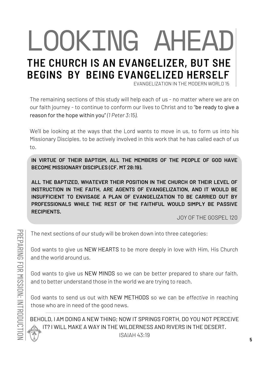### LOOKING AHEAD **THE CHURCH IS AN EVANGELIZER, BUT SHE BEGINS BY BEING EVANGELIZED HERSELF** EVANGELIZATION IN THE MODERN WORLD 15

The remaining sections of this study will help each of us - no matter where we are on our faith journey - to continue to conform our lives to Christ and to "be ready to give a reason for the hope within you" *(1 Peter 3:15).*

We'll be looking at the ways that the Lord wants to move in us, to form us into his Missionary Disciples, to be actively involved in this work that he has called each of us to.

**IN VIRTUE OF THEIR BAPTISM, ALL THE MEMBERS OF THE PEOPLE OF GOD HAVE BECOME MISSIONARY DISCIPLES (CF. MT 28:19).**

**ALL THE BAPTIZED, WHATEVER THEIR POSITION IN THE CHURCH OR THEIR LEVEL OF INSTRUCTION IN THE FAITH, ARE AGENTS OF EVANGELIZATION, AND IT WOULD BE INSUFFICIENT TO ENVISAGE A PLAN OF EVANGELIZATION TO BE CARRIED OUT BY PROFESSIONALS WHILE THE REST OF THE FAITHFUL WOULD SIMPLY BE PASSIVE RECIPIENTS.**

JOY OF THE GOSPEL 120

The next sections of our study will be broken down into three categories:

God wants to give us NEW HEARTS to be more deeply in love with Him, His Church and the world around us.

God wants to give us NEW MINDS so we can be better prepared to share our faith, and to better understand those in the world we are trying to reach.

God wants to send us out with NEW METHODS so we can be *effective* in reaching those who are in need of the good news.

BEHOLD, I AM DOING A NEW THING; NOW IT SPRINGS FORTH, DO YOU NOT PERCEIVE IT? I WILL MAKE A WAY IN THE WILDERNESS AND RIVERS IN THE DESERT. ISAIAH 43:19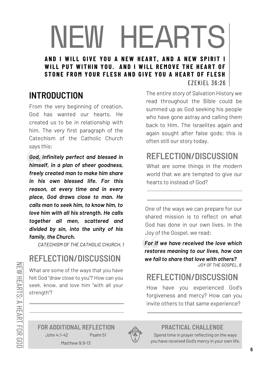#### NEW HEARTS AND I WILL GIVE YOU A NEW HEART, AND A NEW SPIRIT I WILL PUT WITHIN YOU. AND I WILL REMOVE THE HEART OF STONE FROM YOUR FLESH AND GIVE YOU A HEART OF FLESH EZEKIEL 36:26

#### **INTRODUCTION**

From the very beginning of creation, God has wanted our hearts. He created us to be in relationship with him. The very first paragraph of the Catechism of the Catholic Church says this:

*God, infinitely perfect and blessed in himself, in a plan of sheer goodness, freely created man to make him share in his own blessed life. For this reason, at every time and in every place, God draws close to man. He calls man to seek him, to know him, to love him with all his strength. He calls together all men, scattered and divided by sin, into the unity of his family, the Church.*

*CATECHISM OF THE CATHOLIC CHURCH, 1*

#### **REFLECTION/DISCUSSION**

What are some of the ways that you have felt God "draw close to you"? How can you seek, know, and love him "with all your strength"?

The entire story of Salvation History we read throughout the Bible could be summed up as God seeking his people who have gone astray and calling them back to Him. The Israelites again and again sought after false gods; this is often still our story today.

#### **REFLECTION/DISCUSSION**

What are some things in the modern world that we are tempted to give our hearts to instead of God?

One of the ways we can prepare for our shared mission is to reflect on what God has done in our own lives. In the Joy of the Gospel, we read:

*For if we have received the love which restores meaning to our lives, how can we fail to share that love with others?*

*JOY OF THE GOSPEL, 8*

#### **REFLECTION/DISCUSSION**

How have you experienced God's forgiveness and mercy? How can you invite others to that same experience?

Matthew 9:9-13 **FOR ADDITIONAL REFLECTION PRACTICAL CHALLENGE** John 4:1-42 Psalm 51



Spend time in prayer reflecting on the ways you have received God's mercy in your own life.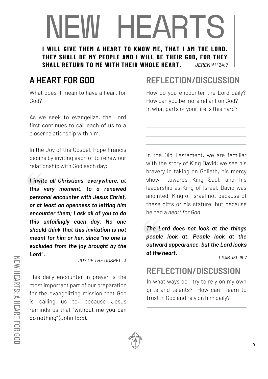## NEW HEARTS

**I WILL GIVE THEM A HEART TO KNOW ME, THAT I AM THE LORD. THEY SHALL BE MY PEOPLE AND I WILL BE THEIR GOD, FOR THEY SHALL RETURN TO ME WITH THEIR WHOLE HEART.** *JEREMIAH 24:7*

#### **A HEART FOR GOD**

What does it mean to have a heart for God?

As we seek to evangelize, the Lord first continues to call each of us to a closer relationship with him.

In the Joy of the Gospel, Pope Francis begins by inviting each of to renew our relationship with God each day:

*I invite all Christians, everywhere, at this very moment, to a renewed personal encounter with Jesus Christ, or at least an openness to letting him encounter them; I ask all of you to do this unfailingly each day. No one should think that this invitation is not meant for him or her, since "no one is excluded from the joy brought by the Lord" .*

*JOY OF THE GOSPEL, 3*

This daily encounter in prayer is the most important part of our preparation for the evangelizing mission that God is calling us to, because Jesus reminds us that "without me you can do nothing" (John 15:5).

#### **REFLECTION/DISCUSSION**

How do you encounter the Lord daily? How can you be more reliant on God? In what parts of your life is this hard?

In the Old Testament, we are familiar with the story of King David; we see his bravery in taking on Goliath, his mercy shown towards King Saul, and his leadership as King of Israel. David was anointed King of Israel not because of these gifts or his stature, but because he had a *heart for God.*

*The Lord does not look at the things people look at. People look at the outward appearance, but the Lord looks at the heart.*

*1 SAMUEL 16:7*

#### **REFLECTION/DISCUSSION**

In what ways do I try to rely on my own gifts and talents? How can I learn to trust in God and rely on him daily?



 $\geq$ 

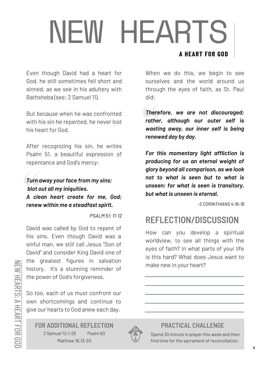## NEW HEARTS **A HEART FOR GOD**

#### Even though David had a heart for God, he still sometimes fell short and sinned, as we see in his adultery with Bathsheba (see: 2 Samuel 11).

But because when he was confronted with his sin he repented, he never lost his heart for God.

After recognizing his sin, he writes Psalm 51, a beautiful expression of repentance and God's mercy:

#### *Turn away your face from my sins; blot out all my iniquities. A clean heart create for me, God; renew within me a steadfast spirit.*

*PSALM 51: 11-12*

David was called by God to repent of his sins. Even though David was a sinful man, we still call Jesus "Son of David" and consider King David one of the greatest figures in salvation history. It's a stunning reminder of the power of God's forgiveness.

So too, each of us must confront our own shortcomings and continue to give our hearts to God anew each day.

Matthew 16:13-20 2 Samuel 12:1-25 Psalm 63 **FOR ADDITIONAL REFLECTION PRACTICAL CHALLENGE**



#### When we do this, we begin to see ourselves and the world around us through the eyes of faith, as St. Paul did:

*Therefore, we are not discouraged; rather, although our outer self is wasting away, our inner self is being renewed day by day.*

*For this momentary light affliction is producing for us an eternal weight of glory beyond all comparison, as we look not to what is seen but to what is unseen; for what is seen is transitory, but what is unseen is eternal.*

*-2 CORINTHIANS 4:16-18*

#### **REFLECTION/DISCUSSION**

How can you develop a spiritual worldview, to see all things with the eyes of faith? In what parts of your life is this hard? What does Jesus want to make new in your heart?

Spend 30 minute in prayer this week and then find time for the sacrament of reconciliation.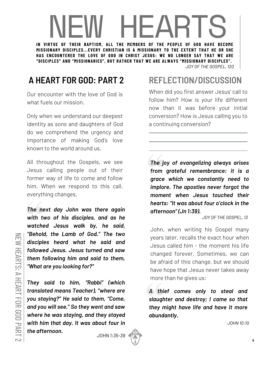### IN FW HEARTS HE ART

**MISSIONARY DISCIPLES...EVERY CHRISTIAN IS A MISSIONARY TO THE EXTENT THAT HE OR SHE HAS ENCOUNTERED THE LOVE OF GOD IN CHRIST JESUS: WE NO LONGER SAY THAT WE ARE "DISCIPLES" AND "MISSIONARIES", BUT RATHER THAT WE ARE ALWAYS "MISSIONARY DISCIPLES".**

*JOY OF THE GOSPEL, 120*

#### **A HEART FOR GOD: PART 2**

Our encounter with the love of God is what fuels our mission.

Only when we understand our deepest identity as sons and daughters of God do we comprehend the urgency and importance of making God's love known to the world around us.

All throughout the Gospels, we see Jesus calling people out of their former way of life to come and follow him. When we respond to this call, everything changes.

*The next day John was there again with two of his disciples, and as he watched Jesus walk by, he said, "Behold, the Lamb of God." The two disciples heard what he said and followed Jesus. Jesus turned and saw them following him and said to them, "What are you looking for?"*

*They said to him, "Rabbi" (which translated means Teacher), "where are you staying?" He said to them, "Come, and you will see." So they went and saw where he was staying, and they stayed with him that day. It was about four in the afternoon.*

*JOHN 1:35-39*



#### **REFLECTION/DISCUSSION**

When did you first answer Jesus' call to follow him? How is your life different now than it was before your initial conversion? How is Jesus calling you to a continuing conversion?

*The joy of evangelizing always arises from grateful remembrance: it is a grace which we constantly need to implore. The apostles never forgot the moment when Jesus touched their hearts: "It was about four o'clock in the afternoon" (Jn 1:39).*

*JOY OF THE GOSPEL, 13*

John, when writing his Gospel many years later, recalls the exact hour when Jesus called him - the moment his life changed forever. Sometimes, we can be afraid of this change, but we should have hope that Jesus never takes away more than he gives us:

*A thief comes only to steal and slaughter and destroy; I came so that they might have life and have it more abundantly.*

*JOHN 10:10*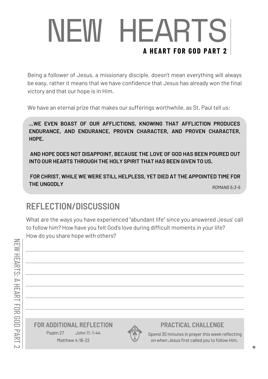## NEW HEARTS **A HEART FOR GOD PART 2**

Being a follower of Jesus, a missionary disciple, doesn't mean everything will always be easy, rather it means that we have confidence that Jesus has already won the final victory and that our hope is in Him.

We have an eternal prize that makes our sufferings worthwhile, as St. Paul tell us:

**...WE EVEN BOAST OF OUR AFFLICTIONS, KNOWING THAT AFFLICTION PRODUCES ENDURANCE, AND ENDURANCE, PROVEN CHARACTER, AND PROVEN CHARACTER, HOPE.**

**AND HOPE DOES NOT DISAPPOINT, BECAUSE THE LOVE OF GOD HAS BEEN POURED OUT INTO OUR HEARTS THROUGH THE HOLY SPIRIT THAT HAS BEEN GIVEN TO US.**

**FOR CHRIST, WHILE WE WERE STILL HELPLESS, YET DIED AT THE APPOINTED TIME FOR THE UNGODLY**

#### *ROMANS 5:3-5*

#### **REFLECTION/DISCUSSION**

What are the ways you have experienced "abundant life" since you answered Jesus' call to follow him? How have you felt God's love during difficult moments in your life? How do you share hope with others?

Matthew 4:18-22 Psalm 27 John 11: 1-44 **FOR ADDITIONAL REFLECTION PRACTICAL CHALLENGE**



Spend 30 minutes in prayer this week reflecting on when Jesus first called you to follow Him.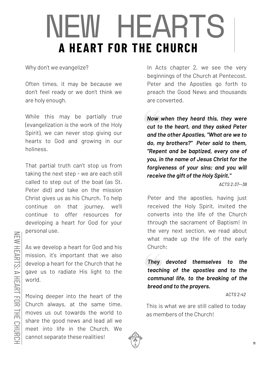## NEW HEARTS **A HEART FOR THE CHURCH**

Why don't we evangelize?

Often times, it may be because we don't feel ready or we don't think we are holy enough.

While this may be partially true (evangelization *is* the work of the Holy Spirit), we can never stop giving our hearts to God and growing in our holiness.

That partial truth can't stop us from taking the next step - we are each still called to step out of the boat (as St. Peter did) and take on the mission Christ gives us as his Church. To help continue on that journey, we'll continue to offer resources for developing a heart for God for your personal use.

As we develop a heart for God and his mission, it's important that we also develop a heart for the Church that he gave us to radiate His light to the world.

Moving deeper into the heart of the Church always, at the same time, moves us out towards the world to share the good news and lead all we meet into life in the Church. We cannot separate these realities!

In Acts chapter 2, we see the very beginnings of the Church at Pentecost. Peter and the Apostles go forth to preach the Good News and thousands are converted.

*Now when they heard this, they were cut to the heart, and they asked Peter and the other Apostles, "What are we to do, my brothers?" Peter said to them, "Repent and be baptized, every one of you, in the name of Jesus Christ for the forgiveness of your sins; and you will receive the gift of the Holy Spirit."*

*ACTS 2:37--38*

Peter and the apostles, having just received the Holy Spirit, invited the converts into the life of the Church through the sacrament of Baptism! In the very next section, we read about what made up the life of the early Church:

*They devoted themselves to the teaching of the apostles and to the communal life, to the breaking of the bread and to the prayers.*

*ACTS 2:42*

This is what we are still called to today as members of the Church!



 $\geq$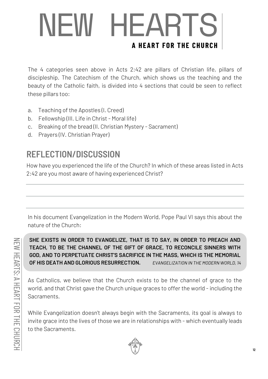## NEW HEARTS **A HEART FOR THE CHURCH**

The 4 categories seen above in Acts 2:42 are pillars of Christian life, pillars of discipleship. The Catechism of the Church, which shows us the teaching and the beauty of the Catholic faith, is divided into 4 sections that could be seen to reflect these pillars too:

- a. Teaching of the Apostles (I. Creed)
- b. Fellowship (III. Life in Christ Moral life)
- c. Breaking of the bread (II. Christian Mystery Sacrament)
- d. Prayers (IV. Christian Prayer)

#### **REFLECTION/DISCUSSION**

How have you experienced the life of the Church? In which of these areas listed in Acts 2:42 are you most aware of having experienced Christ?

In his document Evangelization in the Modern World, Pope Paul VI says this about the nature of the Church:

**SHE EXISTS IN ORDER TO EVANGELIZE, THAT IS TO SAY, IN ORDER TO PREACH AND TEACH, TO BE THE CHANNEL OF THE GIFT OF GRACE, TO RECONCILE SINNERS WITH GOD, AND TO PERPETUATE CHRIST'S SACRIFICE IN THE MASS, WHICH IS THE MEMORIAL OF HIS DEATH AND GLORIOUS RESURRECTION.** *EVANGELIZATION IN THE MODERN WORLD, 14*

As Catholics, we believe that the Church exists to be the channel of grace to the world, and that Christ gave the Church unique graces to offer the world - including the Sacraments.

While Evangelization doesn't always begin with the Sacraments, its goal is always to invite grace into the lives of those we are in relationships with - which eventually leads to the Sacraments.



ᆂ

 $\geq$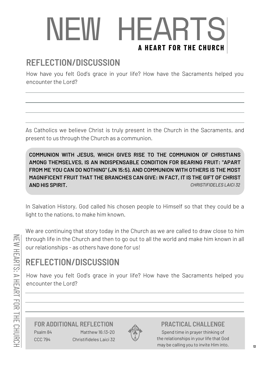## NEW HEARTS **A HEART FOR THE CHURCH**

#### **REFLECTION/DISCUSSION**

How have you felt God's grace in your life? How have the Sacraments helped you encounter the Lord?

As Catholics we believe Christ is truly present in the Church in the Sacraments, and present to us through the Church as a communion.

**COMMUNION WITH JESUS, WHICH GIVES RISE TO THE COMMUNION OF CHRISTIANS AMONG THEMSELVES, IS AN INDISPENSABLE CONDITION FOR BEARING FRUIT: "APART FROM ME YOU CAN DO NOTHING" (JN 15:5). AND COMMUNION WITH OTHERS IS THE MOST MAGNIFICENT FRUIT THAT THE BRANCHES CAN GIVE: IN FACT, IT IS THE GIFT OF CHRIST AND HIS SPIRIT.** *CHRISTIFIDELES LAICI 32*

In Salvation History, God called his chosen people to Himself so that they could be a light to the nations, to make him known.

We are continuing that story today in the Church as we are called to draw close to him through life in the Church and then to go out to all the world and make him known in all our relationships - as others have done for us!

#### **REFLECTION/DISCUSSION**

How have you felt God's grace in your life? How have the Sacraments helped you encounter the Lord?

Psalm 84 CCC 794 Matthew 16:13-20 Christifideles Laici 32 **FOR ADDITIONAL REFLECTION PRACTICAL CHALLENGE**



Spend time in prayer thinking of the relationships in your life that God may be calling you to invite Him into.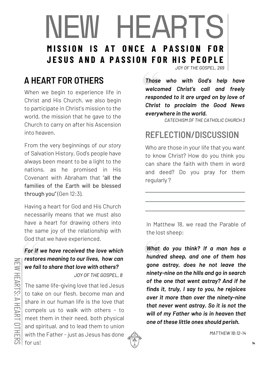### NEW HEARTS MISSION IS AT ONCE A PASSION **JESUS AND A PASSION FOR HIS PEOPLE**

#### *JOY OF THE GOSPEL, 269*

#### **A HEART FOR OTHERS**

When we begin to experience life in Christ and His Church, we also begin to participate in Christ's mission to the world, the mission that he gave to the Church to carry on after his Ascension into heaven.

From the very beginnings of *our story* of Salvation History, God's people have always been meant to be a light to the nations, as he promised in His Covenant with Abraham that "all the families of the Earth will be blessed through you" (Gen 12:3).

Having a heart for God and His Church necessarily means that we must also have a heart for drawing others into the same joy of the relationship with God that we have experienced.

#### *For if we have received the love which restores meaning to our lives, how can we fail to share that love with others?*

*JOY OF THE GOSPEL, 8*

The same life-giving love that led Jesus to take on our flesh, become man and share in our human life is the love that compels us to walk with others - to meet them in their need, both physical and spiritual, and to lead them to union with the Father - just as Jesus has done for us!

*Those who with God's help have welcomed Christ's call and freely responded to it are urged on by love of Christ to proclaim the Good News everywhere in the world.*

*CATECHISM OF THE CATHOLIC CHURCH 3*

#### **REFLECTION/DISCUSSION**

Who are those in your life that you want to know Christ? How do you think you can share the faith with them in word and deed? Do you pray for them regularly ?

In Matthew 18, we read the Parable of the lost sheep:

*What do you think? If a man has a hundred sheep, and one of them has gone astray, does he not leave the ninety-nine on the hills and go in search of the one that went astray? And if he finds it, truly, I say to you, he rejoices over it more than over the ninety-nine that never went astray. So it is not the will of my Father who is in heaven that one of these little ones should perish.*



*MATTHEW 18:12-14*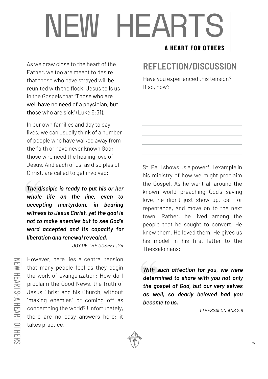## NEW HEARTS

As we draw close to the heart of the Father, we too are meant to desire that those who have strayed will be reunited with the flock. Jesus tells us in the Gospels that "Those who are well have no need of a physician, but those who are sick" (Luke 5:31).

In our own families and day to day lives, we can usually think of a number of people who have walked away from the faith or have never known God; those who need the healing love of Jesus. And each of us, as disciples of Christ, are called to get involved:

*The disciple is ready to put his or her whole life on the line, even to accepting martyrdom, in bearing witness to Jesus Christ, yet the goal is not to make enemies but to see God's word accepted and its capacity for liberation and renewal revealed.*

*JOY OF THE GOSPEL, 24*

 $\geq$ E W  $\equiv$ EART က္  $\blacktriangleright$  $\equiv$ EART  $\bigcirc$  $\equiv$ E R S

However, here lies a central tension that many people feel as they begin the work of evangelization: How do I proclaim the Good News, the truth of Jesus Christ and his Church, without "making enemies" or coming off as condemning the world? Unfortunately, there are no easy answers here; it takes practice!

#### **A HEART FOR OTHERS**

#### **REFLECTION/DISCUSSION**

Have you experienced this tension? If so, how?

St. Paul shows us a powerful example in his ministry of how we might proclaim the Gospel. As he went all around the known world preaching God's saving love, he didn't just show up, call for repentance, and move on to the next town. Rather, he lived among the people that he sought to convert. He knew them. He loved them. He gives us his model in his first letter to the Thessalonians:

*With such affection for you, we were determined to share with you not only the gospel of God, but our very selves as well, so dearly beloved had you become to us.*

*1 THESSALONIANS 2:8*

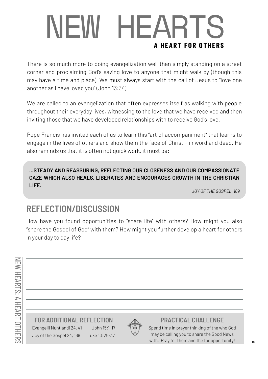## NEW HEARTS **A HEART FOR OTHERS**

There is so much more to doing evangelization well than simply standing on a street corner and proclaiming God's saving love to anyone that might walk by (though this may have a time and place). We must always start with the call of Jesus to "love one another as I have loved you" (John 13:34).

We are called to an evangelization that often expresses itself as walking with people throughout their everyday lives, witnessing to the love that we have received and then inviting those that we have developed relationships with to receive God's love.

Pope Francis has invited each of us to learn this "art of accompaniment" that learns to engage in the lives of others and show them the face of Christ – in word and deed. He also reminds us that it is often not quick work, it must be:

**...STEADY AND REASSURING, REFLECTING OUR CLOSENESS AND OUR COMPASSIONATE GAZE WHICH ALSO HEALS, LIBERATES AND ENCOURAGES GROWTH IN THE CHRISTIAN LIFE.**

*JOY OF THE GOSPEL, 169*

#### **REFLECTION/DISCUSSION**

How have you found opportunities to "share life" with others? How might you also "share the Gospel of God" with them? How might you further develop a heart for others in your day to day life?

Evangelii Nuntiandi 24, 41 John 15:1-17 **FOR ADDITIONAL REFLECTION PRACTICAL CHALLENGE**

Luke 10:25-37

Joy of the Gospel 24, 169



Spend time in prayer thinking of the who God may be calling you to share the Good News with. Pray for them and the for opportunity!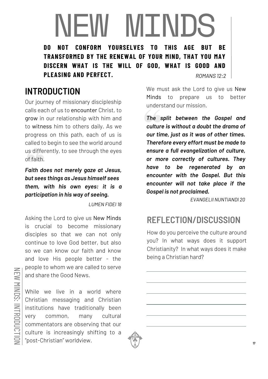### NEW MINDS **DO NOT CONFORM YOURSELVES TO TRANSFORMED BY THE RENEWAL OF YOUR MIND, THAT YOU MAY DISCERN WHAT IS THE WILL OF GOD, WHAT IS GOOD AND**

**PLEASING AND PERFECT.**

#### *ROMANS 12:2*

#### **INTRODUCTION**

Our journey of missionary discipleship calls each of us to encounter Christ, to grow in our relationship with him and to witness him to others daily. As we progress on this path, each of us is called to begin to see the world around us differently, to see through the eyes of faith.

*Faith does not merely gaze at Jesus, but sees things as Jesus himself sees them, with his own eyes: it is a participation in his way of seeing.*

*LUMEN FIDEI 18*

Asking the Lord to give us New Minds is crucial to become missionary disciples so that we can not only continue to love God better, but also so we can know our faith and know and love His people better - the people to whom we are called to serve and share the Good News.

While we live in a world where Christian messaging and Christian institutions have traditionally been very common, many cultural commentators are observing that our culture is increasingly shifting to a "post-Christian" worldview.



We must ask the Lord to give us New Minds to prepare us to better understand our mission.

*The split between the Gospel and culture is without a doubt the drama of our time, just as it was of other times. Therefore every effort must be made to ensure a full evangelization of culture, or more correctly of cultures. They have to be regenerated by an encounter with the Gospel. But this encounter will not take place if the Gospel is not proclaimed.*

*EVANGELII NUNTIANDI 20*

#### **REFLECTION/DISCUSSION**

How do you perceive the culture around you? In what ways does it support Christianity? In what ways does it make being a Christian hard?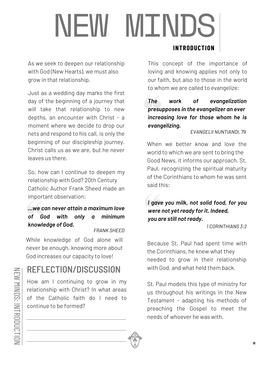## **NEW MINDS INTRODUCTION**

As we seek to deepen our relationship with God (New Hearts), we must also grow in that relationship.

Just as a wedding day marks the first day of the beginning of a journey that will take that relationship to new depths, an encounter with Christ - a moment where we decide to drop our nets and respond to his call, is only the beginning of our discipleship journey. Christ calls us as we are, but he never leaves us there.

So, how can I continue to deepen my relationship with God? 20th Century Catholic Author Frank Sheed made an important observation:

#### *...we can never attain a maximum love of God with only a minimum knowledge of God.*

*FRANK SHEED*

While knowledge of God alone will never be enough, knowing more about God increases our capacity to love!

#### **REFLECTION/DISCUSSION**

How am I continuing to grow in my relationship with Christ? In what areas of the Catholic faith do I need to continue to be formed?

#### This concept of the importance of loving and knowing applies not only to our faith, but also to those in the world

#### *The work of evangelization presupposes in the evangelizer an ever increasing love for those whom he is evangelizing.*

to whom we are called to evangelize:

*EVANGELII NUNTIANDI, 79*

When we better know and love the world to which we are sent to bring the Good News, it informs our approach. St. Paul, recognizing the spiritual maturity of the Corinthians to whom he was sent said this:

*I gave you milk, not solid food, for you were not yet ready for it. Indeed, you are still not ready.*

*1 CORINTHIANS 3:2*

Because St. Paul had spent time with the Corinthians, he knew what they needed to grow in their relationship with God, and what held them back.

St. Paul models this type of ministry for us throughout his writings in the New Testament - adapting his methods of preaching the Gospel to meet the needs of whoever he was with.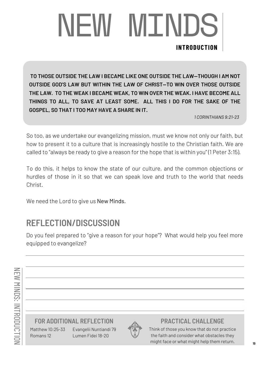## NEW MINDS **INTRODUCTION**

**TO THOSE OUTSIDE THE LAW I BECAME LIKE ONE OUTSIDE THE LAW—THOUGH I AM NOT OUTSIDE GOD'S LAW BUT WITHIN THE LAW OF CHRIST—TO WIN OVER THOSE OUTSIDE THE LAW. TO THE WEAK I BECAME WEAK, TO WIN OVER THE WEAK. I HAVE BECOME ALL THINGS TO ALL, TO SAVE AT LEAST SOME. ALL THIS I DO FOR THE SAKE OF THE GOSPEL, SO THAT I TOO MAY HAVE A SHARE IN IT.**

*1 CORINTHIANS 9:21-23*

So too, as we undertake our evangelizing mission, must we know not only our faith, but how to present it to a culture that is increasingly hostile to the Christian faith. We are called to "always be ready to give a reason for the hope that is within you" (1 Peter 3:15).

To do this, it helps to know the state of our culture, and the common objections or hurdles of those in it so that we can speak love and truth to the world that needs Christ.

We need the Lord to give us New Minds.

#### **REFLECTION/DISCUSSION**

Do you feel prepared to "give a reason for your hope"? What would help you feel more equipped to evangelize?

**FOR ADDITIONAL REFLECTION PRACTICAL CHALLENGE**

Matthew 10:25-33 Romans 12

Evangelii Nuntiandi 79 Lumen Fidei 18-20



Think of those you know that do not practice the faith and consider what obstacles they might face or what might help them return.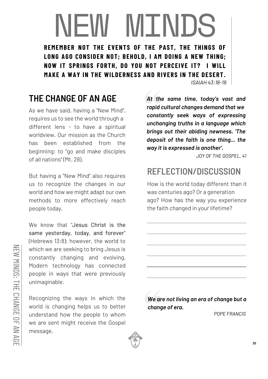### NEW MINDS **REMEMBER NOT THE EVENTS OF THE PAST, THE THINGS OF LONG AGO CONSIDER NOT; BEHOLD, I AM DOING A NEW THING; NOW IT SPRINGS FORTH, DO YOU NOT PERCEIVE IT? I WILL**

**MAKE A WAY IN THE WILDERNESS AND RIVERS IN THE DESERT.**

*ISAIAH 43:18-19*

#### **THE CHANGE OF AN AGE**

As we have said, having a "New Mind", requires us to see the world through a different lens - to have a spiritual worldview. Our mission as the Church has been established from the beginning: to "go and make disciples of all nations" (Mt. 28).

But having a "New Mind" also requires us to recognize the changes in our world and how we might adapt our own methods to more effectively reach people today.

We know that "Jesus Christ is the same yesterday, today, and forever" (Hebrews 13:8); however, the world to which we are seeking to bring Jesus is constantly changing and evolving. Modern technology has connected people in ways that were previously unimaginable.

Recognizing the ways in which the world is changing helps us to better understand how the people to whom we are sent might receive the Gospel message.

*At the same time, today's vast and rapid cultural changes demand that we constantly seek ways of expressing unchanging truths in a language which brings out their abiding newness. 'The deposit of the faith is one thing... the way it is expressed is another'.*

*JOY OF THE GOSPEL, 41*

#### **REFLECTION/DISCUSSION**

How is the world today different than it was centuries ago? Or a generation ago? How has the way you experience the faith changed in your lifetime?

*We are not living an era of change but a change of era.*

*POPE FRANCIS*



m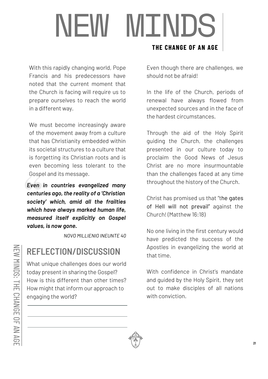## NEW MINDS

With this rapidly changing world, Pope Francis and his predecessors have noted that the current moment that the Church is facing will require us to prepare ourselves to reach the world in a different way.

We must become increasingly aware of the movement away from a culture that has Christianity embedded within its societal structures to a culture that is forgetting its Christian roots and is even becoming less tolerant to the Gospel and its message.

*Even in countries evangelized many centuries ago, the reality of a 'Christian society' which, amid all the frailties which have always marked human life, measured itself explicitly on Gospel values, is now gone.*

*NOVO MILLIENIO INEUNTE 40*

#### **REFLECTION/DISCUSSION**

What unique challenges does our world today present in sharing the Gospel? How is this different than other times? How might that inform our approach to engaging the world?

#### **THE CHANGE OF AN AGE**

Even though there are challenges, we should not be afraid!

In the life of the Church, periods of renewal have always flowed from unexpected sources and in the face of the hardest circumstances.

Through the aid of the Holy Spirit guiding the Church, the challenges presented in our culture today to proclaim the Good News of Jesus Christ are no more insurmountable than the challenges faced at any time throughout the history of the Church.

Christ has promised us that "the gates of Hell will not prevail" against the Church! (Matthew 16:18)

No one living in the first century would have predicted the success of the Apostles in evangelizing the world at that time.

With confidence in Christ's mandate and guided by the Holy Spirit, they set out to make disciples of all nations with conviction.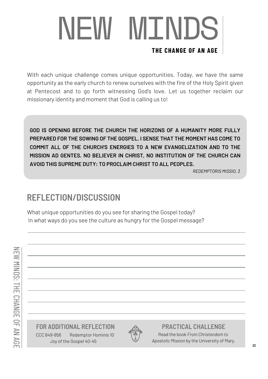## NEW MINDS **THE CHANGE OF AN AGE**

With each unique challenge comes unique opportunities. Today, we have the same opportunity as the early church to renew ourselves with the fire of the Holy Spirit given at Pentecost and to go forth witnessing God's love. Let us together reclaim our missionary identity and moment that God is calling us to!

**GOD IS OPENING BEFORE THE CHURCH THE HORIZONS OF A HUMANITY MORE FULLY PREPARED FOR THE SOWING OF THE GOSPEL. I SENSE THAT THE MOMENT HAS COME TO COMMIT ALL OF THE CHURCH'S ENERGIES TO A NEW EVANGELIZATION AND TO THE MISSION AD GENTES. NO BELIEVER IN CHRIST, NO INSTITUTION OF THE CHURCH CAN AVOID THIS SUPREME DUTY: TO PROCLAIM CHRIST TO ALL PEOPLES.**

*REDEMPTORIS MISSIO, 3*

#### **REFLECTION/DISCUSSION**

What unique opportunities do you see for sharing the Gospel today? In what ways do you see the culture as hungry for the Gospel message?

#### **FOR ADDITIONAL REFLECTION PRACTICAL CHALLENGE**

CCC 849-856 Joy of the Gospel 40-45 Redemptor Hominis 10



Read the book *From Christendom to Apostolic Mission* by the University of Mary.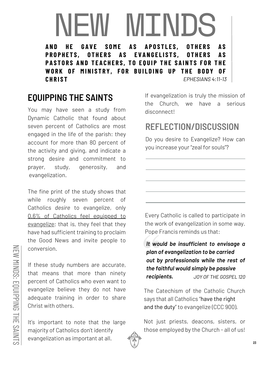### NEW MINDS AS APOSTLES.

PROPHETS, OTHERS AS EVANGELISTS, OTHERS AS PASTORS AND TEACHERS, TO EQUIP THE SAINTS FOR THE WORK OF MINISTRY, FOR BUILDING UP THE BODY OF **C H R I S T** *EPHESIANS 4:11-13*

#### **EQUIPPING THE SAINTS**

You may have seen a study from Dynamic Catholic that found about seven percent of Catholics are most engaged in the life of the parish: they account for more than 80 percent of the activity and giving, and indicate a strong desire and commitment to prayer, study, generosity, and evangelization.

The fine print of the study shows that while roughly seven percent of Catholics *desire* to evangelize, only 0.6% of Catholics feel equipped to evangelize; that is, they feel that they have had sufficient training to proclaim the Good News and invite people to conversion.

If these study numbers are accurate, that means that more than ninety percent of Catholics who even want to evangelize believe they do not have adequate training in order to share Christ with others.

It's important to note that the large majority of Catholics don't identify evangelization as important at all.

If evangelization is truly the mission of the Church, we have a serious disconnect!

#### **REFLECTION/DISCUSSION**

Do you desire to Evangelize? How can you increase your "zeal for souls"?

Every Catholic is called to participate in the work of evangelization in some way. Pope Francis reminds us that:

*It would be insufficient to envisage a plan of evangelization to be carried out by professionals while the rest of the faithful would simply be passive recipients. JOY OF THE GOSPEL 120*

The Catechism of the Catholic Church says that all Catholics "have the right and the duty" to evangelize (CCC 900).

Not just priests, deacons, sisters, or those employed by the Church - all of us!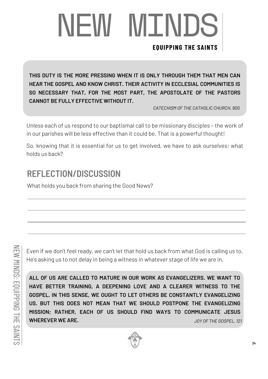# NEW MINDS

#### **EQUIPPING THE SAINTS**

**THIS DUTY IS THE MORE PRESSING WHEN IT IS ONLY THROUGH THEM THAT MEN CAN HEAR THE GOSPEL AND KNOW CHRIST. THEIR ACTIVITY IN ECCLESIAL COMMUNITIES IS SO NECESSARY THAT, FOR THE MOST PART, THE APOSTOLATE OF THE PASTORS CANNOT BE FULLY EFFECTIVE WITHOUT IT.**

*CATECHISM OF THE CATHOLIC CHURCH, 900*

Unless each of us respond to our baptismal call to be missionary disciples – the work of in our parishes will be less effective than it could be. That is a powerful thought!

So, knowing that it is essential for us to get involved, we have to ask ourselves: what holds us back?

#### **REFLECTION/DISCUSSION**

What holds you back from sharing the Good News?

Even if we don't feel ready, we can't let that hold us back from what God is calling us to. He's asking us to not delay in being a witness in whatever stage of life we are in.

**ALL OF US ARE CALLED TO MATURE IN OUR WORK AS EVANGELIZERS. WE WANT TO HAVE BETTER TRAINING, A DEEPENING LOVE AND A CLEARER WITNESS TO THE GOSPEL. IN THIS SENSE, WE OUGHT TO LET OTHERS BE CONSTANTLY EVANGELIZING US. BUT THIS DOES NOT MEAN THAT WE SHOULD POSTPONE THE EVANGELIZING MISSION; RATHER, EACH OF US SHOULD FIND WAYS TO COMMUNICATE JESUS WHEREVER WE ARE.** *JOY OF THE GOSPEL, 121*

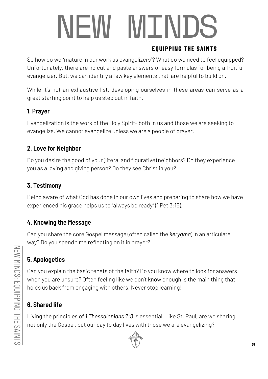# NEW MINDS

#### **EQUIPPING THE SAINTS**

So how do we "mature in our work as evangelizers"? What do we need to feel equipped? Unfortunately, there are no cut and paste answers or easy formulas for being a fruitful evangelizer. But, we can identify a few key elements that are helpful to build on.

While it's not an exhaustive list, developing ourselves in these areas can serve as a great starting point to help us step out in faith.

#### **1. Prayer**

Evangelization is the work of the Holy Spirit- both in us and those we are seeking to evangelize. We cannot evangelize unless we are a people of prayer.

#### **2. Love for Neighbor**

Do you desire the good of your (literal and figurative) neighbors? Do they experience you as a loving and giving person? Do they see Christ in you?

#### **3. Testimony**

Being aware of what God has done in our own lives and preparing to share how we have experienced his grace helps us to "always be ready" (1 Pet 3:15).

#### **4. Knowing the Message**

Can you share the core Gospel message (often called the *kerygma*) in an articulate way? Do you spend time reflecting on it in prayer?

#### **5. Apologetics**

Can you explain the basic tenets of the faith? Do you know where to look for answers when you are unsure? Often feeling like we don't know enough is the main thing that holds us back from engaging with others. Never stop learning!

#### **6. Shared life**

Living the principles of *1 Thessalonians 2:8* is essential. Like St. Paul, are we sharing not only the Gospel, but our day to day lives with those we are evangelizing?

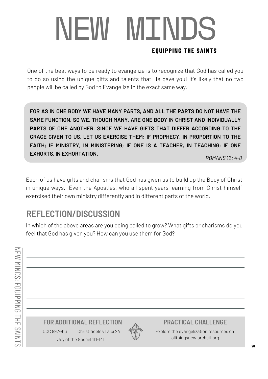## **NEW MINDS EQUIPPING THE SAINTS**

One of the best ways to be ready to evangelize is to recognize that God has called you to do so using the unique gifts and talents that He gave you! It's likely that no two people will be called by God to Evangelize in the exact same way.

**FOR AS IN ONE BODY WE HAVE MANY PARTS, AND ALL THE PARTS DO NOT HAVE THE SAME FUNCTION, SO WE, THOUGH MANY, ARE ONE BODY IN CHRIST AND INDIVIDUALLY PARTS OF ONE ANOTHER. SINCE WE HAVE GIFTS THAT DIFFER ACCORDING TO THE GRACE GIVEN TO US, LET US EXERCISE THEM: IF PROPHECY, IN PROPORTION TO THE FAITH; IF MINISTRY, IN MINISTERING; IF ONE IS A TEACHER, IN TEACHING; IF ONE EXHORTS, IN EXHORTATION.**

*ROMANS 12: 4-8*

Each of us have gifts and charisms that God has given us to build up the Body of Christ in unique ways. Even the Apostles, who all spent years learning from Christ himself exercised their own ministry differently and in different parts of the world.

#### **REFLECTION/DISCUSSION**

In which of the above areas are you being called to grow? What gifts or charisms do you feel that God has given you? How can you use them for God?

**FOR ADDITIONAL REFLECTION PRACTICAL CHALLENGE** Joy of the Gospel 111-141 CCC 897-913 Christifideles Laici 24



Explore the evangelization resources on allthingsnew.archstl.org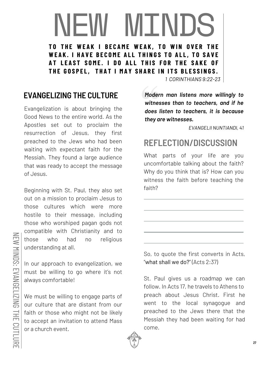# NEW MINDS

TO THE WEAK I BECAME WEAK, TO WIN OVER THE **WEAK. I HAVE BECOME ALL THINGS TO ALL, TO SAVE** AT LEAST SOME. I DO ALL THIS FOR THE SAKE OF THE GOSPEL, THAT I MAY SHARE IN ITS BLESSINGS.

*1 CORINTHIANS 9:22-23*

#### **EVANGELIZING THE CULTURE**

Evangelization is about bringing the Good News to the entire world. As the Apostles set out to proclaim the resurrection of Jesus, they first preached to the Jews who had been waiting with expectant faith for the Messiah. They found a large audience that was ready to accept the message of Jesus.

Beginning with St. Paul, they also set out on a mission to proclaim Jesus to those cultures which were more hostile to their message, including those who worshiped pagan gods not compatible with Christianity and to those who had no religious understanding at all.

In our approach to evangelization, we must be willing to go where it's not always comfortable!

We must be willing to engage parts of our culture that are distant from our faith or those who might not be likely to accept an invitation to attend Mass or a church event.

*Modern man listens more willingly to witnesses than to teachers, and if he does listen to teachers, it is because they are witnesses.*

*EVANGELII NUNTIANDI, 41*

#### **REFLECTION/DISCUSSION**

What parts of your life are you uncomfortable talking about the faith? Why do you think that is? How can you witness the faith before teaching the faith?

So, to quote the first converts in Acts, "what shall we do?" (Acts 2:37)

St. Paul gives us a roadmap we can follow. In Acts 17, he travels to Athens to preach about Jesus Christ. First he went to the local synagogue and preached to the Jews there that the Messiah they had been waiting for had come.



 $\geq$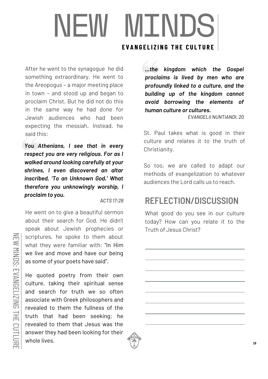### NEW MINDS **EVANGELIZING THE CULTURE**

After he went to the synagogue he did something extraordinary. He went to the Areopogus – a major meeting place in town – and stood up and began to proclaim Christ. But he did not do this in the same way he had done for Jewish audiences who had been expecting the messiah. Instead, he said this:

*You Athenians, I see that in every respect you are very religious. For as I walked around looking carefully at your shrines, I even discovered an altar inscribed, 'To an Unknown God.' What therefore you unknowingly worship, I proclaim to you.*

*ACTS 17:28*

He went on to give a beautiful sermon about their search for God. He didn't speak about Jewish prophecies or scriptures, he spoke to them about what they were familiar with: "In Him we live and move and have our being as some of your poets have said".

He quoted poetry from their own culture, taking their spiritual sense and search for truth we so often associate with Greek philosophers and revealed to them the fullness of the truth that had been seeking; he revealed to them that Jesus was the answer they had been looking for their whole lives.

*...the kingdom which the Gospel proclaims is lived by men who are profoundly linked to a culture, and the building up of the kingdom cannot avoid borrowing the elements of human culture or cultures.*

*EVANGELII NUNTIANDI, 20*

St. Paul takes what is good in their culture and relates it to the truth of Christianity.

So too, we are called to adapt our methods of evangelization to whatever audiences the Lord calls us to reach.

#### **REFLECTION/DISCUSSION**

What good do you see in our culture today? How can you relate it to the Truth of Jesus Christ?

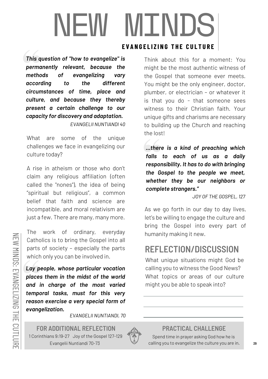# NEW MINDS

*This question of "how to evangelize" is permanently relevant, because the methods of evangelizing vary according to the different circumstances of time, place and culture, and because they thereby present a certain challenge to our capacity for discovery and adaptation.*

*EVANGELII NUNTIANDI 40*

What are some of the unique challenges we face in evangelizing our culture today?

A rise in atheism or those who don't claim any religious affiliation (often called the "nones"), the idea of being "spiritual but religious", a common belief that faith and science are incompatible, and moral relativism are just a few. There are many, many more.

The work of ordinary, everyday Catholics is to bring the Gospel into all parts of society – especially the parts which only you can be involved in.

*Lay people, whose particular vocation places them in the midst of the world and in charge of the most varied temporal tasks, must for this very reason exercise a very special form of evangelization.*

*EVANGELII NUNTIANDI, 70*

**FOR ADDITIONAL REFLECTION PRACTICAL CHALLENGE** 1 Corinthians 9:19-27 Joy of the Gospel 127-129 Evangelii Nuntiandi 70-73



Spend time in prayer asking God how he is calling you to evangelize the culture you are in.

**EVANGELIZING THE CULTURE** 

Think about this for a moment: You might be the most authentic witness of the Gospel that someone ever meets. You might be the only engineer, doctor, plumber, or electrician – or whatever it is that you do - that someone sees witness to their Christian faith. Your unique gifts and charisms are necessary to building up the Church and reaching the lost!

*...there is a kind of preaching which falls to each of us as a daily responsibility. It has to do with bringing the Gospel to the people we meet, whether they be our neighbors or complete strangers."*

*JOY OF THE GOSPEL, 127*

As we go forth in our day to day lives, let's be willing to engage the culture and bring the Gospel into every part of humanity making it new.

#### **REFLECTION/DISCUSSION**

What unique situations might God be calling you to witness the Good News? What topics or areas of our culture might you be able to speak into?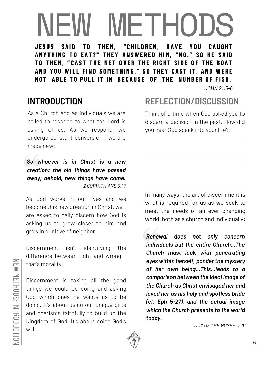# NEW METHODS

THEM, "CHILDREN. **ANYTHING TO EAT?" THEY ANSWERED HIM, "NO." SO HE SAID** TO THEM, "CAST THE NET OVER THE RIGHT SIDE OF THE BOAT AND YOU WILL FIND SOMETHING." SO THEY CAST IT, AND WERE NOT ABLE TO PULL IT IN BECAUSE OF THE NUMBER OF FISH.

*JOHN 21:5-6*

As a Church and as individuals we are called to respond to what the Lord is asking of us. As we respond, we undergo constant conversion - we are made new:

*So whoever is in Christ is a new creation: the old things have passed away; behold, new things have come. 2 CORINTHIANS 5:17*

As God works in our lives and we become this new creation in Christ, we are asked to daily discern how God is asking us to grow closer to him and grow in our love of neighbor.

Discernment isn't identifying the difference between right and wrong that's morality.

Discernment is taking all the good things we could be doing and asking God which ones he wants us to be doing. It's about using our unique gifts and charisms faithfully to build up the Kingdom of God. It's about doing God's will.

#### **INTRODUCTION REFLECTION/DISCUSSION**

Think of a time when God asked you to discern a decision in the past. How did you hear God speak into your life?

In many ways, the art of discernment is what is required for us as we seek to meet the needs of an ever changing world, both as a church and individually:

*Renewal does not only concern individuals but the entire Church...The Church must look with penetrating eyes within herself, ponder the mystery of her own being...This...leads to a comparison between the ideal image of the Church as Christ envisaged her and loved her as his holy and spotless bride (cf. Eph 5:27), and the actual image which the Church presents to the world today.*

*JOY OF THE GOSPEL, 26*

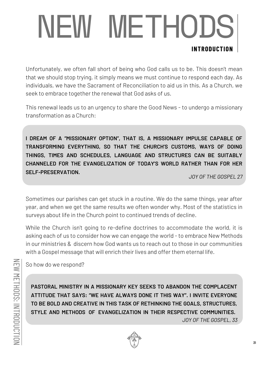## NEW METHODS **INTRODUCTION**

Unfortunately, we often fall short of being who God calls us to be. This doesn't mean that we should stop trying, it simply means we must continue to respond each day. As individuals, we have the Sacrament of Reconciliation to aid us in this. As a Church, we seek to embrace together the renewal that God asks of us.

This renewal leads us to an urgency to share the Good News - to undergo a missionary transformation as a Church:

**I DREAM OF A "MISSIONARY OPTION", THAT IS, A MISSIONARY IMPULSE CAPABLE OF TRANSFORMING EVERYTHING, SO THAT THE CHURCH'S CUSTOMS, WAYS OF DOING THINGS, TIMES AND SCHEDULES, LANGUAGE AND STRUCTURES CAN BE SUITABLY CHANNELED FOR THE EVANGELIZATION OF TODAY'S WORLD RATHER THAN FOR HER SELF-PRESERVATION.**

*JOY OF THE GOSPEL 27*

Sometimes our parishes can get stuck in a routine. We do the same things, year after year, and when we get the same results we often wonder why. Most of the statistics in surveys about life in the Church point to continued trends of decline.

While the Church isn't going to re-define doctrines to accommodate the world, it is asking each of us to consider how we can engage the world - to embrace New Methods in our ministries & discern how God wants us to reach out to those in our communities with a Gospel message that will enrich their lives and offer them eternal life.

So how do we respond?

**PASTORAL MINISTRY IN A MISSIONARY KEY SEEKS TO ABANDON THE COMPLACENT ATTITUDE THAT SAYS: "WE HAVE ALWAYS DONE IT THIS WAY". I INVITE EVERYONE TO BE BOLD AND CREATIVE IN THIS TASK OF RETHINKING THE GOALS, STRUCTURES, STYLE AND METHODS OF EVANGELIZATION IN THEIR RESPECTIVE COMMUNITIES.** *JOY OF THE GOSPEL, 33*

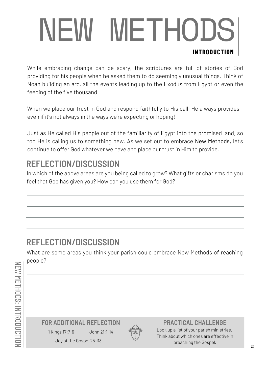## NEW METHODS **INTRODUCTION**

While embracing change can be scary, the scriptures are full of stories of God providing for his people when he asked them to do seemingly unusual things. Think of Noah building an arc, all the events leading up to the Exodus from Egypt or even the feeding of the five thousand.

When we place our trust in God and respond faithfully to His call, He always provides even if it's not always in the ways we're expecting or hoping!

Just as He called His people out of the familiarity of Egypt into the promised land, so too He is calling us to something new. As we set out to embrace New Methods, let's continue to offer God whatever we have and place our trust in Him to provide.

#### **REFLECTION/DISCUSSION**

In which of the above areas are you being called to grow? What gifts or charisms do you feel that God has given you? How can you use them for God?

#### **REFLECTION/DISCUSSION**

What are some areas you think your parish could embrace New Methods of reaching people?

**FOR ADDITIONAL REFLECTION PRACTICAL CHALLENGE**

1 Kings 17:7-6 John 21:1-14





Look up a list of your parish ministries. Think about which ones are effective in preaching the Gospel.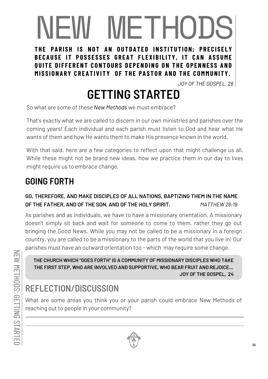# NEW METHODS

THE PARISH IS NOT AN OUTDATED INSTITUTION: PRECISELY BECAUSE IT POSSESSES GREAT FLEXIBILITY, IT CAN ASSUME **OUITE DIFFERENT CONTOURS DEPENDING ON THE OPENNESS AND** MISSIONARY CREATIVITY OF THE PASTOR AND THE COMMUNITY.

*JOY OF THE GOSPEL, 28*

### **GETTING STARTED**

So what are some of these *New Methods* we must embrace?

That's exactly what we are called to discern in our own ministries and parishes over the coming years! Each individual and each parish must listen to God and hear what He wants of them and how He wants them to make His presence known in the world.

With that said, here are a few categories to reflect upon that might challenge us all. While these might not be brand new ideas, how we practice them in our day to lives might require us to embrace change.

#### **GOING FORTH**

#### **GO, THEREFORE, AND MAKE DISCIPLES OF ALL NATIONS, BAPTIZING THEM IN THE NAME OF THE FATHER, AND OF THE SON, AND OF THE HOLY SPIRIT.** *MATTHEW 28:19*

As parishes and as individuals, we have to have a missionary orientation. A missionary doesn't simply sit back and wait for someone to come to them, rather they go out bringing the Good News. While you may not be called to be a missionary in a foreign country, you are called to be a missionary to the parts of the world that you live in! Our parishes must have an outward orientation too - which may require some change.

**THE CHURCH WHICH "GOES FORTH" IS A COMMUNITY OF MISSIONARY DISCIPLES WHO TAKE THE FIRST STEP, WHO ARE INVOLVED AND SUPPORTIVE, WHO BEAR FRUIT AND REJOICE... JOY OF THE GOSPEL, 24**

### **REFLECTION/DISCUSSION**

What are some areas you think you or your parish could embrace New Methods of reaching out to people in your community?

 $\geq$ 

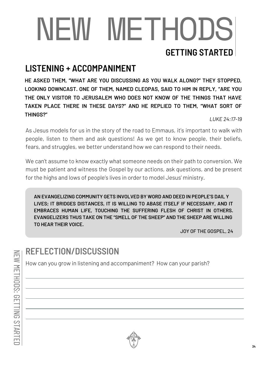## NEW METHODS **GETTING STARTED**

#### **LISTENING + ACCOMPANIMENT**

**HE ASKED THEM, "WHAT ARE YOU DISCUSSING AS YOU WALK ALONG?" THEY STOPPED, LOOKING DOWNCAST. ONE OF THEM, NAMED CLEOPAS, SAID TO HIM IN REPLY, "ARE YOU THE ONLY VISITOR TO JERUSALEM WHO DOES NOT KNOW OF THE THINGS THAT HAVE TAKEN PLACE THERE IN THESE DAYS?" AND HE REPLIED TO THEM, "WHAT SORT OF THINGS?"**

*LUKE 24:17-19*

As Jesus models for us in the story of the road to Emmaus, it's important to walk with people, listen to them and ask questions! As we get to know people, their beliefs, fears, and struggles, we better understand how we can respond to their needs.

We can't assume to know exactly what someone needs on their path to conversion. We must be patient and witness the Gospel by our actions, ask questions, and be present for the highs and lows of people's lives in order to model Jesus' ministry.

**AN EVANGELIZING COMMUNITY GETS INVOLVED BY WORD AND DEED IN PEOPLE'S DAIL Y LIVES; IT BRIDGES DISTANCES, IT IS WILLING TO ABASE ITSELF IF NECESSARY, AND IT EMBRACES HUMAN LIFE, TOUCHING THE SUFFERING FLESH OF CHRIST IN OTHERS. EVANGELIZERS THUS TAKE ON THE "SMELL OF THE SHEEP" AND THE SHEEP ARE WILLING TO HEAR THEIR VOICE.**

JOY OF THE GOSPEL, 24

#### **REFLECTION/DISCUSSION**

How can you grow in listening and accompaniment? How can your parish?

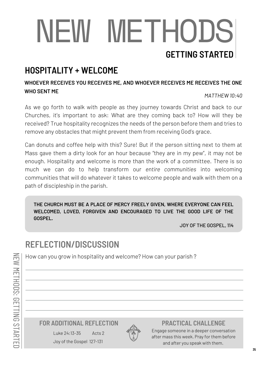## NEW METHODS **GETTING STARTED**

#### **HOSPITALITY + WELCOME**

#### **WHOEVER RECEIVES YOU RECEIVES ME, AND WHOEVER RECEIVES ME RECEIVES THE ONE WHO SENT ME**

*MATTHEW 10:40*

As we go forth to walk with people as they journey towards Christ and back to our Churches, it's important to ask: What are they coming back to? How will they be received? True hospitality recognizes the needs of the person before them and tries to remove any obstacles that might prevent them from receiving God's grace.

Can donuts and coffee help with this? Sure! But if the person sitting next to them at Mass gave them a dirty look for an hour because "they are in my pew", it may not be enough. Hospitality and welcome is more than the work of a committee. There is so much we can do to help transform our *entire communities* into welcoming communities that will do whatever it takes to welcome people and walk with them on a path of discipleship in the parish.

**THE CHURCH MUST BE A PLACE OF MERCY FREELY GIVEN, WHERE EVERYONE CAN FEEL WELCOMED, LOVED, FORGIVEN AND ENCOURAGED TO LIVE THE GOOD LIFE OF THE GOSPEL.**

JOY OF THE GOSPEL, 114

#### **REFLECTION/DISCUSSION**

 $\geq$ Ē  $\leq$  $\mathbf{\Xi}$ Ē  $\equiv$  $\bigcirc$ D တ္  $\mathbf \Omega$ Ē  $\overline{\phantom{0}}$ T<br>N  $\mathbf \Omega$ STARTE

D

How can you grow in hospitality and welcome? How can your parish ?

#### **FOR ADDITIONAL REFLECTION PRACTICAL CHALLENGE**

Joy of the Gospel 127-131 Luke 24:13-35 Acts 2



Engage someone in a deeper conversation after mass this week. Pray for them before and after you speak with them.